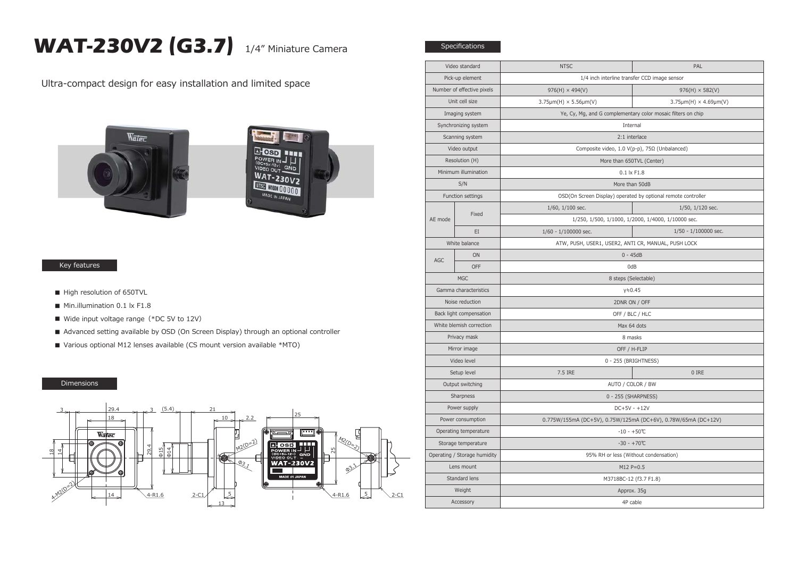## **WAT-230V2 (G3.7)** 1/4" Miniature Camera

Specifications

Ultra-compact design for easy installation and limited space





## Key features

- High resolution of 650TVL
- Min.illumination 0.1 lx F1.8
- Wide input voltage range (\*DC 5V to 12V)
- Advanced setting available by OSD (On Screen Display) through an optional controller
- Various optional M12 lenses available (CS mount version available \*MTO)

## Dimensions



| Video standard               |            | <b>NTSC</b>                                                    | PAL                                                |  |
|------------------------------|------------|----------------------------------------------------------------|----------------------------------------------------|--|
| Pick-up element              |            | 1/4 inch interline transfer CCD image sensor                   |                                                    |  |
| Number of effective pixels   |            | $976(H) \times 494(V)$                                         | $976(H) \times 582(V)$                             |  |
| Unit cell size               |            | $3.75 \mu m(H) \times 5.56 \mu m(V)$                           | $3.75 \mu m(H) \times 4.69 \mu m(V)$               |  |
| Imaging system               |            | Ye, Cy, Mg, and G complementary color mosaic filters on chip   |                                                    |  |
| Synchronizing system         |            | Internal                                                       |                                                    |  |
| Scanning system              |            | 2:1 interlace                                                  |                                                    |  |
| Video output                 |            | Composite video, 1.0 V(p-p), 75Ω (Unbalanced)                  |                                                    |  |
| Resolution (H)               |            | More than 650TVL (Center)                                      |                                                    |  |
| Minimum illumination         |            | $0.1 \times F1.8$                                              |                                                    |  |
| S/N                          |            | More than 50dB                                                 |                                                    |  |
| Function settings            |            | OSD(On Screen Display) operated by optional remote controller  |                                                    |  |
| AE mode                      | Fixed      | 1/60, 1/100 sec.                                               | $1/50$ , $1/120$ sec.                              |  |
|                              |            |                                                                | 1/250, 1/500, 1/1000, 1/2000, 1/4000, 1/10000 sec. |  |
|                              | EI         | $1/60 - 1/100000$ sec.                                         | 1/50 - 1/100000 sec.                               |  |
| White balance                |            | ATW, PUSH, USER1, USER2, ANTI CR, MANUAL, PUSH LOCK            |                                                    |  |
| AGC                          | ON         | $0 - 45dB$                                                     |                                                    |  |
|                              | <b>OFF</b> | 0dB                                                            |                                                    |  |
| <b>MGC</b>                   |            | 8 steps (Selectable)                                           |                                                    |  |
| Gamma characteristics        |            | γ≒0.45                                                         |                                                    |  |
| Noise reduction              |            | 2DNR ON / OFF                                                  |                                                    |  |
| Back light compensation      |            | OFF / BLC / HLC                                                |                                                    |  |
| White blemish correction     |            | Max 64 dots                                                    |                                                    |  |
| Privacy mask                 |            | 8 masks                                                        |                                                    |  |
| Mirror image                 |            | OFF / H-FLIP                                                   |                                                    |  |
| Video level                  |            |                                                                | 0 - 255 (BRIGHTNESS)                               |  |
| Setup level                  |            | 7.5 IRE                                                        | 0 IRE                                              |  |
| Output switching             |            | AUTO / COLOR / BW                                              |                                                    |  |
| Sharpness                    |            | 0 - 255 (SHARPNESS)                                            |                                                    |  |
| Power supply                 |            | $DC+5V - +12V$                                                 |                                                    |  |
| Power consumption            |            | 0.775W/155mA (DC+5V), 0.75W/125mA (DC+6V), 0.78W/65mA (DC+12V) |                                                    |  |
| Operating temperature        |            | $-10 - +50$ °C                                                 |                                                    |  |
| Storage temperature          |            | $-30 - +70$ °C                                                 |                                                    |  |
| Operating / Storage humidity |            | 95% RH or less (Without condensation)                          |                                                    |  |
| Lens mount                   |            | $M12 P = 0.5$                                                  |                                                    |  |
| Standard lens                |            | M3718BC-12 (f3.7 F1.8)                                         |                                                    |  |
| Weight                       |            | Approx. 35g                                                    |                                                    |  |
| Accessory                    |            | 4P cable                                                       |                                                    |  |